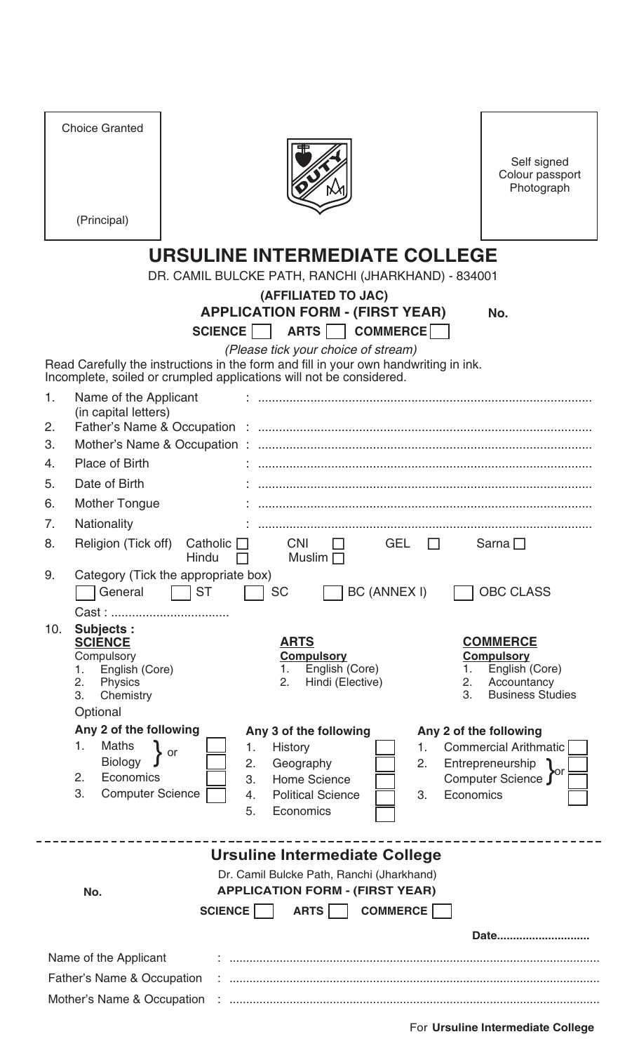|                                                                                                                                                             | <b>Choice Granted</b><br>(Principal)                                                                |                       |                                                |                        | Self signed<br>Colour passport<br>Photograph |  |  |  |  |  |
|-------------------------------------------------------------------------------------------------------------------------------------------------------------|-----------------------------------------------------------------------------------------------------|-----------------------|------------------------------------------------|------------------------|----------------------------------------------|--|--|--|--|--|
|                                                                                                                                                             |                                                                                                     |                       |                                                |                        |                                              |  |  |  |  |  |
|                                                                                                                                                             | <b>URSULINE INTERMEDIATE COLLEGE</b>                                                                |                       |                                                |                        |                                              |  |  |  |  |  |
| DR. CAMIL BULCKE PATH, RANCHI (JHARKHAND) - 834001                                                                                                          |                                                                                                     |                       |                                                |                        |                                              |  |  |  |  |  |
| (AFFILIATED TO JAC)<br><b>APPLICATION FORM - (FIRST YEAR)</b>                                                                                               |                                                                                                     |                       |                                                |                        |                                              |  |  |  |  |  |
|                                                                                                                                                             | No.<br>ARTS     COMMERCE    <br>SCIENCE                                                             |                       |                                                |                        |                                              |  |  |  |  |  |
| (Please tick your choice of stream)                                                                                                                         |                                                                                                     |                       |                                                |                        |                                              |  |  |  |  |  |
| Read Carefully the instructions in the form and fill in your own handwriting in ink.<br>Incomplete, soiled or crumpled applications will not be considered. |                                                                                                     |                       |                                                |                        |                                              |  |  |  |  |  |
| 1.                                                                                                                                                          | Name of the Applicant                                                                               |                       |                                                |                        |                                              |  |  |  |  |  |
|                                                                                                                                                             | (in capital letters)                                                                                |                       |                                                |                        |                                              |  |  |  |  |  |
| 2.                                                                                                                                                          |                                                                                                     |                       |                                                |                        |                                              |  |  |  |  |  |
| 3.                                                                                                                                                          |                                                                                                     |                       |                                                |                        |                                              |  |  |  |  |  |
| 4.                                                                                                                                                          | <b>Place of Birth</b>                                                                               |                       |                                                |                        |                                              |  |  |  |  |  |
| 5.                                                                                                                                                          | Date of Birth                                                                                       |                       |                                                |                        |                                              |  |  |  |  |  |
| 6.                                                                                                                                                          | <b>Mother Tongue</b>                                                                                |                       |                                                |                        |                                              |  |  |  |  |  |
| 7.                                                                                                                                                          | Nationality                                                                                         |                       |                                                |                        |                                              |  |  |  |  |  |
| 8.                                                                                                                                                          | Religion (Tick off)<br><b>CNI</b><br>Catholic $\Box$<br><b>GEL</b><br>Sarna $\Box$<br>Muslim $\Box$ |                       |                                                |                        |                                              |  |  |  |  |  |
| 9.                                                                                                                                                          | Hindu<br>$\Box$<br>Category (Tick the appropriate box)                                              |                       |                                                |                        |                                              |  |  |  |  |  |
|                                                                                                                                                             | General                                                                                             | <b>ST</b>             | <b>BC (ANNEX I)</b><br><b>SC</b>               |                        | <b>OBC CLASS</b>                             |  |  |  |  |  |
|                                                                                                                                                             |                                                                                                     |                       |                                                |                        |                                              |  |  |  |  |  |
| 10.                                                                                                                                                         | <b>Subjects:</b><br><b>SCIENCE</b>                                                                  |                       | <b>ARTS</b>                                    |                        | <b>COMMERCE</b>                              |  |  |  |  |  |
|                                                                                                                                                             | Compulsory                                                                                          |                       | <b>Compulsory</b>                              |                        | <b>Compulsory</b>                            |  |  |  |  |  |
|                                                                                                                                                             | English (Core)<br>1.<br>2.<br>Physics                                                               |                       | English (Core)<br>1.<br>Hindi (Elective)<br>2. | 1.<br>2.               | English (Core)<br>Accountancy                |  |  |  |  |  |
|                                                                                                                                                             | 3.<br>Chemistry                                                                                     |                       |                                                | 3.                     | <b>Business Studies</b>                      |  |  |  |  |  |
|                                                                                                                                                             | Optional                                                                                            |                       |                                                |                        |                                              |  |  |  |  |  |
|                                                                                                                                                             | Any 2 of the following                                                                              |                       | Any 3 of the following                         | Any 2 of the following |                                              |  |  |  |  |  |
|                                                                                                                                                             | <b>Maths</b><br>1.<br><b>Biology</b>                                                                | 1.<br><b>or</b><br>2. | <b>History</b><br>Geography                    | 1.<br>2.               | Commercial Arithmatic<br>Entrepreneurship    |  |  |  |  |  |
|                                                                                                                                                             | 2.<br>Economics                                                                                     | 3.                    | <b>Home Science</b>                            |                        | Computer Science J                           |  |  |  |  |  |
|                                                                                                                                                             | 3.<br><b>Computer Science</b>                                                                       | 4.                    | <b>Political Science</b>                       | 3.<br>Economics        |                                              |  |  |  |  |  |
|                                                                                                                                                             |                                                                                                     | 5.                    | Economics                                      |                        |                                              |  |  |  |  |  |
|                                                                                                                                                             |                                                                                                     |                       |                                                |                        |                                              |  |  |  |  |  |
|                                                                                                                                                             |                                                                                                     |                       | Ursuline Intermediate College                  |                        |                                              |  |  |  |  |  |
| Dr. Camil Bulcke Path, Ranchi (Jharkhand)<br><b>APPLICATION FORM - (FIRST YEAR)</b><br>No.                                                                  |                                                                                                     |                       |                                                |                        |                                              |  |  |  |  |  |
| <b>COMMERCE</b><br><b>SCIENCE</b><br>ARTS                                                                                                                   |                                                                                                     |                       |                                                |                        |                                              |  |  |  |  |  |
|                                                                                                                                                             |                                                                                                     |                       |                                                |                        | Date                                         |  |  |  |  |  |
|                                                                                                                                                             |                                                                                                     |                       |                                                |                        |                                              |  |  |  |  |  |
| Name of the Applicant<br>Father's Name & Occupation                                                                                                         |                                                                                                     |                       |                                                |                        |                                              |  |  |  |  |  |
|                                                                                                                                                             |                                                                                                     |                       |                                                |                        |                                              |  |  |  |  |  |
|                                                                                                                                                             | Mother's Name & Occupation                                                                          |                       |                                                |                        |                                              |  |  |  |  |  |